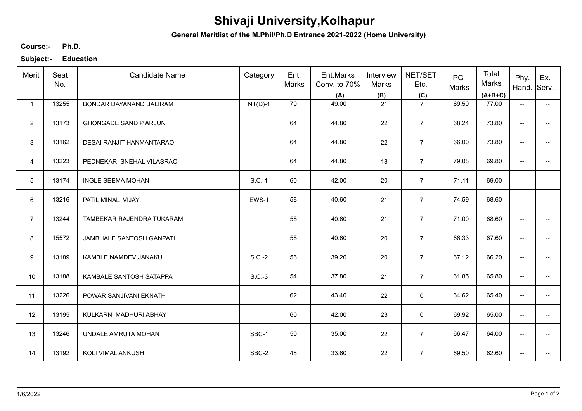## **Shivaji University,Kolhapur**

**General Meritlist of the M.Phil/Ph.D Entrance 2021-2022 (Home University)**

**Ph.D. Course:-**

**Subject:- Education**

| Merit          | Seat<br>No. | <b>Candidate Name</b>        | Category  | Ent.<br>Marks | Ent.Marks<br>Conv. to 70%<br>(A) | Interview<br>Marks<br>(B) | NET/SET<br>Etc.<br>(C) | PG<br>Marks | Total<br><b>Marks</b><br>$(A+B+C)$ | Phy.<br>Hand.                       | Ex.<br>Serv.             |
|----------------|-------------|------------------------------|-----------|---------------|----------------------------------|---------------------------|------------------------|-------------|------------------------------------|-------------------------------------|--------------------------|
| $\mathbf{1}$   | 13255       | BONDAR DAYANAND BALIRAM      | $NT(D)-1$ | 70            | 49.00                            | 21                        | $\overline{7}$         | 69.50       | 77.00                              | $\overline{\phantom{a}}$            | $\overline{\phantom{a}}$ |
| $\overline{2}$ | 13173       | <b>GHONGADE SANDIP ARJUN</b> |           | 64            | 44.80                            | 22                        | $\overline{7}$         | 68.24       | 73.80                              | $\overline{\phantom{a}}$            | --                       |
| 3              | 13162       | DESAI RANJIT HANMANTARAO     |           | 64            | 44.80                            | 22                        | $\overline{7}$         | 66.00       | 73.80                              | $\overline{\phantom{m}}$            | $\overline{a}$           |
| $\overline{4}$ | 13223       | PEDNEKAR SNEHAL VILASRAO     |           | 64            | 44.80                            | 18                        | $\overline{7}$         | 79.08       | 69.80                              | $\overline{\phantom{a}}$            | $\overline{\phantom{a}}$ |
| 5              | 13174       | <b>INGLE SEEMA MOHAN</b>     | $S.C.-1$  | 60            | 42.00                            | 20                        | $\overline{7}$         | 71.11       | 69.00                              | $\overline{\phantom{a}}$            | $\overline{\phantom{0}}$ |
| 6              | 13216       | PATIL MINAL VIJAY            | EWS-1     | 58            | 40.60                            | 21                        | $\overline{7}$         | 74.59       | 68.60                              | $\overline{\phantom{m}}$            | $\overline{\phantom{a}}$ |
| $\overline{7}$ | 13244       | TAMBEKAR RAJENDRA TUKARAM    |           | 58            | 40.60                            | 21                        | $\overline{7}$         | 71.00       | 68.60                              | $\overline{\phantom{m}}$            |                          |
| 8              | 15572       | JAMBHALE SANTOSH GANPATI     |           | 58            | 40.60                            | 20                        | $\overline{7}$         | 66.33       | 67.60                              | $\overline{\phantom{a}}$            |                          |
| 9              | 13189       | KAMBLE NAMDEV JANAKU         | $S.C.-2$  | 56            | 39.20                            | 20                        | $\overline{7}$         | 67.12       | 66.20                              | $\overline{\phantom{a}}$            | --                       |
| 10             | 13188       | KAMBALE SANTOSH SATAPPA      | $S.C.-3$  | 54            | 37.80                            | 21                        | $\overline{7}$         | 61.85       | 65.80                              | $\overline{\phantom{a}}$            | $\overline{a}$           |
| 11             | 13226       | POWAR SANJIVANI EKNATH       |           | 62            | 43.40                            | 22                        | 0                      | 64.62       | 65.40                              | $\overline{\phantom{a}}$            | $\overline{\phantom{a}}$ |
| 12             | 13195       | KULKARNI MADHURI ABHAY       |           | 60            | 42.00                            | 23                        | 0                      | 69.92       | 65.00                              | $\overline{\phantom{a}}$            | --                       |
| 13             | 13246       | UNDALE AMRUTA MOHAN          | SBC-1     | 50            | 35.00                            | 22                        | $\overline{7}$         | 66.47       | 64.00                              | $\overline{\phantom{m}}$            | $\overline{\phantom{a}}$ |
| 14             | 13192       | KOLI VIMAL ANKUSH            | SBC-2     | 48            | 33.60                            | 22                        | $\overline{7}$         | 69.50       | 62.60                              | $\hspace{0.05cm}$ $\hspace{0.05cm}$ |                          |